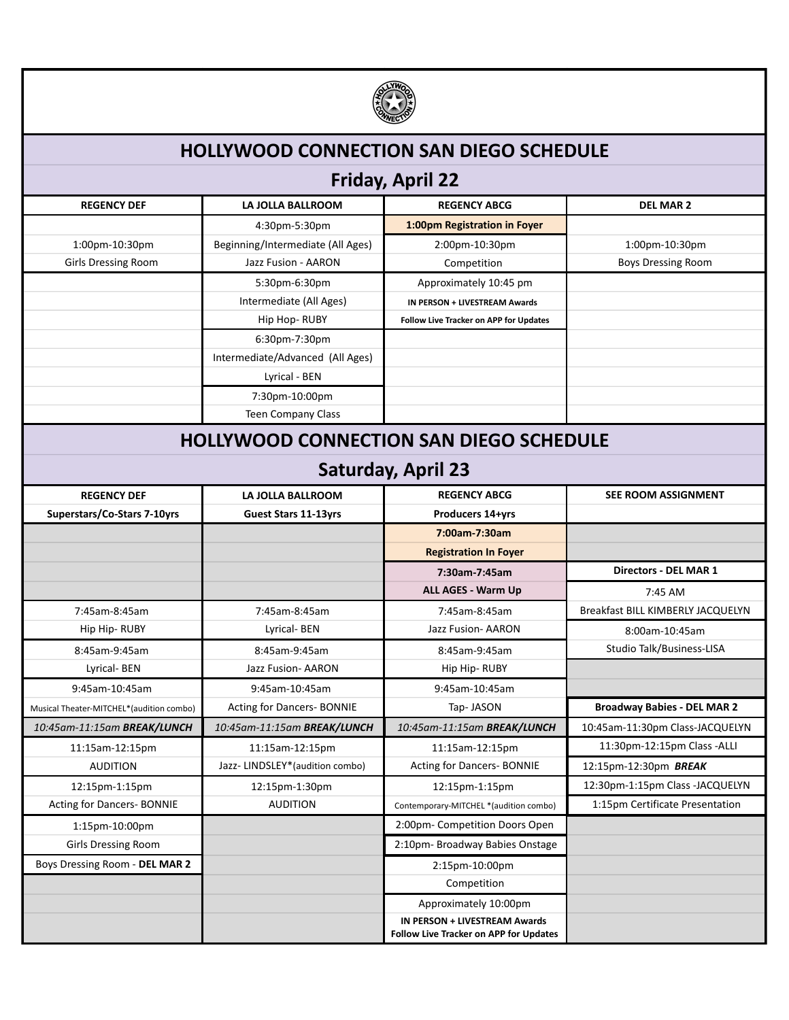

## **HOLLYWOOD CONNECTION SAN DIEGO SCHEDULE**

## **Friday, April 22**

| <b>REGENCY DEF</b>                             | LA JOLLA BALLROOM                 | <b>REGENCY ABCG</b>                                                     | <b>DEL MAR 2</b>                   |  |
|------------------------------------------------|-----------------------------------|-------------------------------------------------------------------------|------------------------------------|--|
|                                                | 4:30pm-5:30pm                     | 1:00pm Registration in Foyer                                            |                                    |  |
| 1:00pm-10:30pm                                 | Beginning/Intermediate (All Ages) | 2:00pm-10:30pm                                                          | 1:00pm-10:30pm                     |  |
| <b>Girls Dressing Room</b>                     | Jazz Fusion - AARON               | Competition                                                             | <b>Boys Dressing Room</b>          |  |
|                                                | 5:30pm-6:30pm                     | Approximately 10:45 pm                                                  |                                    |  |
|                                                | Intermediate (All Ages)           | IN PERSON + LIVESTREAM Awards                                           |                                    |  |
|                                                | Hip Hop-RUBY                      | Follow Live Tracker on APP for Updates                                  |                                    |  |
|                                                | 6:30pm-7:30pm                     |                                                                         |                                    |  |
|                                                | Intermediate/Advanced (All Ages)  |                                                                         |                                    |  |
|                                                | Lyrical - BEN                     |                                                                         |                                    |  |
|                                                | 7:30pm-10:00pm                    |                                                                         |                                    |  |
|                                                | Teen Company Class                |                                                                         |                                    |  |
| <b>HOLLYWOOD CONNECTION SAN DIEGO SCHEDULE</b> |                                   |                                                                         |                                    |  |
| <b>Saturday, April 23</b>                      |                                   |                                                                         |                                    |  |
| <b>REGENCY DEF</b>                             | LA JOLLA BALLROOM                 | <b>REGENCY ABCG</b>                                                     | SEE ROOM ASSIGNMENT                |  |
| Superstars/Co-Stars 7-10yrs                    | <b>Guest Stars 11-13yrs</b>       | Producers 14+yrs                                                        |                                    |  |
|                                                |                                   | 7:00am-7:30am                                                           |                                    |  |
|                                                |                                   | <b>Registration In Foyer</b>                                            |                                    |  |
|                                                |                                   | 7:30am-7:45am                                                           | <b>Directors - DEL MAR 1</b>       |  |
|                                                |                                   | ALL AGES - Warm Up                                                      | 7:45 AM                            |  |
| 7:45am-8:45am                                  | 7:45am-8:45am                     | 7:45am-8:45am                                                           | Breakfast BILL KIMBERLY JACQUELYN  |  |
| Hip Hip-RUBY                                   | Lyrical-BEN                       | Jazz Fusion- AARON                                                      | 8:00am-10:45am                     |  |
| 8:45am-9:45am                                  | 8:45am-9:45am                     | 8:45am-9:45am                                                           | Studio Talk/Business-LISA          |  |
| Lyrical-BEN                                    | Jazz Fusion- AARON                | Hip Hip-RUBY                                                            |                                    |  |
| 9:45am-10:45am                                 | 9:45am-10:45am                    | 9:45am-10:45am                                                          |                                    |  |
| Musical Theater-MITCHEL*(audition combo)       | <b>Acting for Dancers- BONNIE</b> | Tap-JASON                                                               | <b>Broadway Babies - DEL MAR 2</b> |  |
| 10:45am-11:15am BREAK/LUNCH                    | 10:45am-11:15am BREAK/LUNCH       | 10:45am-11:15am BREAK/LUNCH                                             | 10:45am-11:30pm Class-JACQUELYN    |  |
| 11:15am-12:15pm                                | 11:15am-12:15pm                   | 11:15am-12:15pm                                                         | 11:30pm-12:15pm Class -ALLI        |  |
| <b>AUDITION</b>                                | Jazz-LINDSLEY*(audition combo)    | <b>Acting for Dancers- BONNIE</b>                                       | 12:15pm-12:30pm BREAK              |  |
| 12:15pm-1:15pm                                 | 12:15pm-1:30pm                    | 12:15pm-1:15pm                                                          | 12:30pm-1:15pm Class -JACQUELYN    |  |
| <b>Acting for Dancers- BONNIE</b>              | <b>AUDITION</b>                   | Contemporary-MITCHEL *(audition combo)                                  | 1:15pm Certificate Presentation    |  |
| 1:15pm-10:00pm                                 |                                   | 2:00pm- Competition Doors Open                                          |                                    |  |
| <b>Girls Dressing Room</b>                     |                                   | 2:10pm- Broadway Babies Onstage                                         |                                    |  |
| Boys Dressing Room - DEL MAR 2                 |                                   | 2:15pm-10:00pm                                                          |                                    |  |
|                                                |                                   | Competition                                                             |                                    |  |
|                                                |                                   | Approximately 10:00pm                                                   |                                    |  |
|                                                |                                   | IN PERSON + LIVESTREAM Awards<br>Follow Live Tracker on APP for Updates |                                    |  |